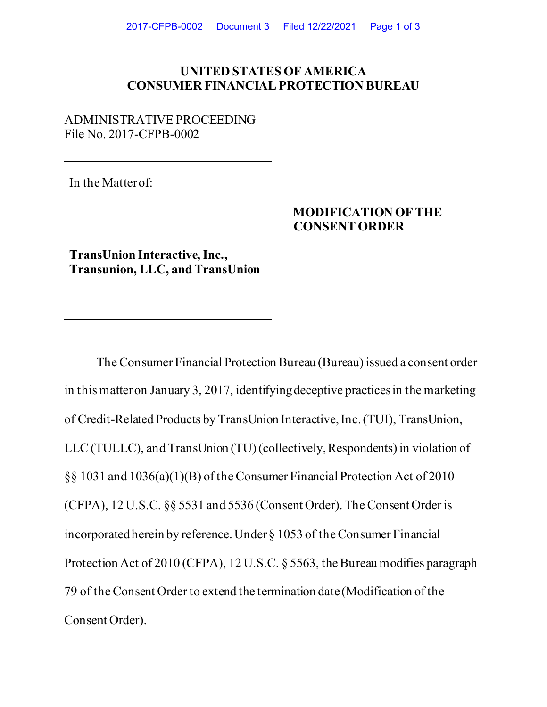### **UNITED STATES OF AMERICA CONSUMER FINANCIAL PROTECTION BUREAU**

### ADMINISTRATIVE PROCEEDING File No. 2017-CFPB-0002

In the Matter of:

**TransUnion Interactive, Inc., Transunion, LLC, and TransUnion**

# **MODIFICATION OF THE CONSENT ORDER**

The Consumer Financial Protection Bureau (Bureau) issued a consent order in this matter on January 3, 2017, identifying deceptive practices in the marketing of Credit-Related Products by TransUnion Interactive, Inc. (TUI), TransUnion, LLC (TULLC), and TransUnion (TU) (collectively, Respondents) in violation of §§ 1031 and 1036(a)(1)(B) of the Consumer Financial Protection Act of 2010 (CFPA), 12 U.S.C. §§ 5531 and 5536 (Consent Order). The Consent Order is incorporated herein by reference. Under § 1053 of the Consumer Financial Protection Act of 2010 (CFPA), 12 U.S.C. § 5563, the Bureau modifies paragraph 79 of the Consent Order to extend the termination date (Modification of the Consent Order).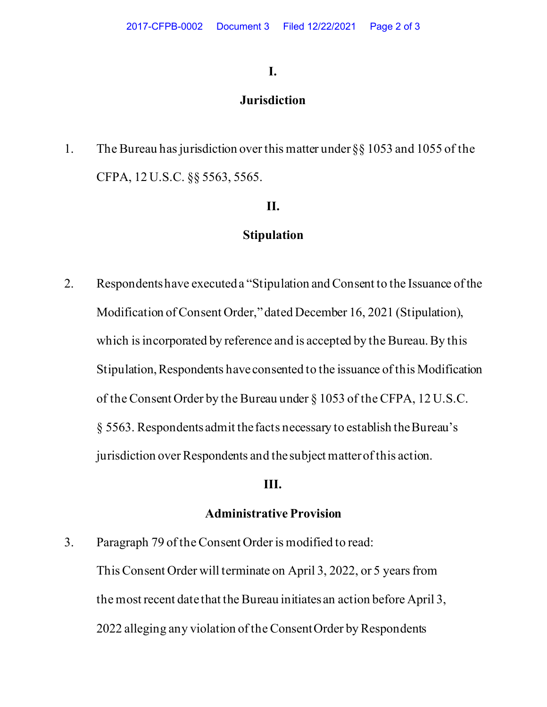### **I.**

## **Jurisdiction**

1. The Bureau has jurisdiction over this matter under §§ 1053 and 1055 of the CFPA, 12 U.S.C. §§ 5563, 5565.

# **II.**

## **Stipulation**

2. Respondents have executed a "Stipulation and Consent to the Issuance of the Modification of Consent Order," dated December 16, 2021 (Stipulation), which is incorporated by reference and is accepted by the Bureau. By this Stipulation, Respondents haveconsented to the issuance of this Modification of theConsent Order by the Bureau under § 1053 of the CFPA, 12 U.S.C. § 5563. Respondents admit the facts necessary to establish the Bureau's jurisdiction over Respondents and the subject matter of this action.

### **III.**

#### **Administrative Provision**

3. Paragraph 79 of the Consent Order is modified to read:

This Consent Order will terminate on April 3, 2022, or 5 years from the most recent date that the Bureau initiates an action before April 3, 2022 alleging any violation of the Consent Order by Respondents